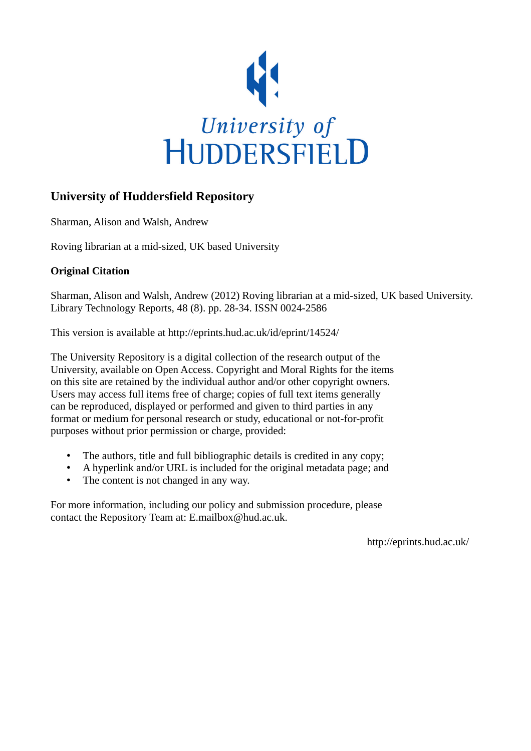

### **University of Huddersfield Repository**

Sharman, Alison and Walsh, Andrew

Roving librarian at a mid-sized, UK based University

#### **Original Citation**

Sharman, Alison and Walsh, Andrew (2012) Roving librarian at a mid-sized, UK based University. Library Technology Reports, 48 (8). pp. 28-34. ISSN 0024-2586

This version is available at http://eprints.hud.ac.uk/id/eprint/14524/

The University Repository is a digital collection of the research output of the University, available on Open Access. Copyright and Moral Rights for the items on this site are retained by the individual author and/or other copyright owners. Users may access full items free of charge; copies of full text items generally can be reproduced, displayed or performed and given to third parties in any format or medium for personal research or study, educational or not-for-profit purposes without prior permission or charge, provided:

- The authors, title and full bibliographic details is credited in any copy;
- A hyperlink and/or URL is included for the original metadata page; and
- The content is not changed in any way.

For more information, including our policy and submission procedure, please contact the Repository Team at: E.mailbox@hud.ac.uk.

http://eprints.hud.ac.uk/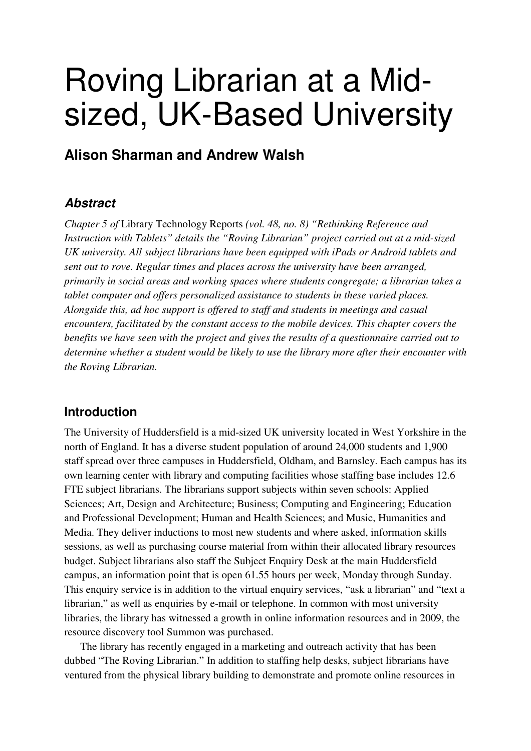# Roving Librarian at a Midsized, UK-Based University

## **Alison Sharman and Andrew Walsh**

## **Abstract**

*Chapter 5 of* Library Technology Reports *(vol. 48, no. 8) "Rethinking Reference and Instruction with Tablets" details the "Roving Librarian" project carried out at a mid-sized UK university. All subject librarians have been equipped with iPads or Android tablets and sent out to rove. Regular times and places across the university have been arranged, primarily in social areas and working spaces where students congregate; a librarian takes a tablet computer and offers personalized assistance to students in these varied places. Alongside this, ad hoc support is offered to staff and students in meetings and casual encounters, facilitated by the constant access to the mobile devices. This chapter covers the benefits we have seen with the project and gives the results of a questionnaire carried out to determine whether a student would be likely to use the library more after their encounter with the Roving Librarian.* 

## **Introduction**

The University of Huddersfield is a mid-sized UK university located in West Yorkshire in the north of England. It has a diverse student population of around 24,000 students and 1,900 staff spread over three campuses in Huddersfield, Oldham, and Barnsley. Each campus has its own learning center with library and computing facilities whose staffing base includes 12.6 FTE subject librarians. The librarians support subjects within seven schools: Applied Sciences; Art, Design and Architecture; Business; Computing and Engineering; Education and Professional Development; Human and Health Sciences; and Music, Humanities and Media. They deliver inductions to most new students and where asked, information skills sessions, as well as purchasing course material from within their allocated library resources budget. Subject librarians also staff the Subject Enquiry Desk at the main Huddersfield campus, an information point that is open 61.55 hours per week, Monday through Sunday. This enquiry service is in addition to the virtual enquiry services, "ask a librarian" and "text a librarian," as well as enquiries by e-mail or telephone. In common with most university libraries, the library has witnessed a growth in online information resources and in 2009, the resource discovery tool Summon was purchased.

The library has recently engaged in a marketing and outreach activity that has been dubbed "The Roving Librarian." In addition to staffing help desks, subject librarians have ventured from the physical library building to demonstrate and promote online resources in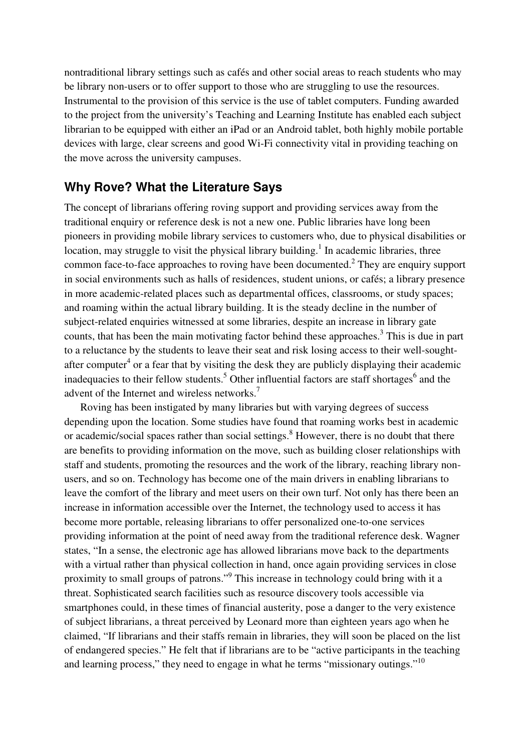nontraditional library settings such as cafés and other social areas to reach students who may be library non-users or to offer support to those who are struggling to use the resources. Instrumental to the provision of this service is the use of tablet computers. Funding awarded to the project from the university's Teaching and Learning Institute has enabled each subject librarian to be equipped with either an iPad or an Android tablet, both highly mobile portable devices with large, clear screens and good Wi-Fi connectivity vital in providing teaching on the move across the university campuses.

### **Why Rove? What the Literature Says**

The concept of librarians offering roving support and providing services away from the traditional enquiry or reference desk is not a new one. Public libraries have long been pioneers in providing mobile library services to customers who, due to physical disabilities or location, may struggle to visit the physical library building.<sup>1</sup> In academic libraries, three common face-to-face approaches to roving have been documented.<sup>2</sup> They are enquiry support in social environments such as halls of residences, student unions, or cafés; a library presence in more academic-related places such as departmental offices, classrooms, or study spaces; and roaming within the actual library building. It is the steady decline in the number of subject-related enquiries witnessed at some libraries, despite an increase in library gate counts, that has been the main motivating factor behind these approaches.<sup>3</sup> This is due in part to a reluctance by the students to leave their seat and risk losing access to their well-soughtafter computer<sup>4</sup> or a fear that by visiting the desk they are publicly displaying their academic inadequacies to their fellow students.<sup>5</sup> Other influential factors are staff shortages<sup>6</sup> and the advent of the Internet and wireless networks.<sup>7</sup>

Roving has been instigated by many libraries but with varying degrees of success depending upon the location. Some studies have found that roaming works best in academic or academic/social spaces rather than social settings.<sup>8</sup> However, there is no doubt that there are benefits to providing information on the move, such as building closer relationships with staff and students, promoting the resources and the work of the library, reaching library nonusers, and so on. Technology has become one of the main drivers in enabling librarians to leave the comfort of the library and meet users on their own turf. Not only has there been an increase in information accessible over the Internet, the technology used to access it has become more portable, releasing librarians to offer personalized one-to-one services providing information at the point of need away from the traditional reference desk. Wagner states, "In a sense, the electronic age has allowed librarians move back to the departments with a virtual rather than physical collection in hand, once again providing services in close proximity to small groups of patrons."<sup>9</sup> This increase in technology could bring with it a threat. Sophisticated search facilities such as resource discovery tools accessible via smartphones could, in these times of financial austerity, pose a danger to the very existence of subject librarians, a threat perceived by Leonard more than eighteen years ago when he claimed, "If librarians and their staffs remain in libraries, they will soon be placed on the list of endangered species." He felt that if librarians are to be "active participants in the teaching and learning process," they need to engage in what he terms "missionary outings."<sup>10</sup>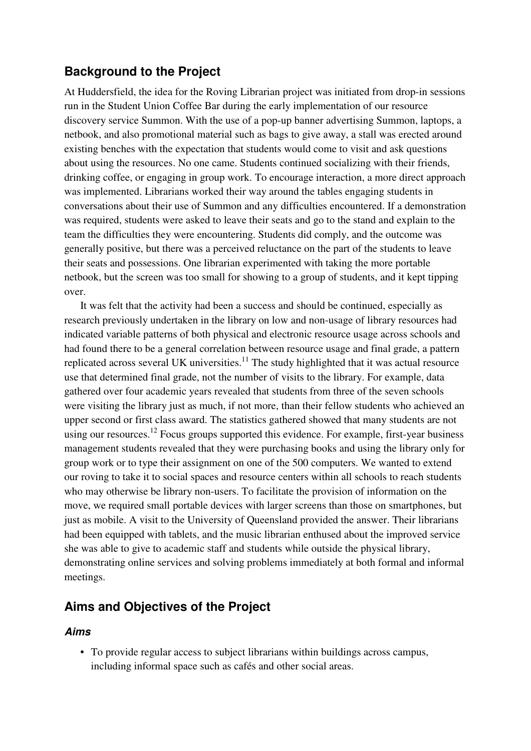## **Background to the Project**

At Huddersfield, the idea for the Roving Librarian project was initiated from drop-in sessions run in the Student Union Coffee Bar during the early implementation of our resource discovery service Summon. With the use of a pop-up banner advertising Summon, laptops, a netbook, and also promotional material such as bags to give away, a stall was erected around existing benches with the expectation that students would come to visit and ask questions about using the resources. No one came. Students continued socializing with their friends, drinking coffee, or engaging in group work. To encourage interaction, a more direct approach was implemented. Librarians worked their way around the tables engaging students in conversations about their use of Summon and any difficulties encountered. If a demonstration was required, students were asked to leave their seats and go to the stand and explain to the team the difficulties they were encountering. Students did comply, and the outcome was generally positive, but there was a perceived reluctance on the part of the students to leave their seats and possessions. One librarian experimented with taking the more portable netbook, but the screen was too small for showing to a group of students, and it kept tipping over.

It was felt that the activity had been a success and should be continued, especially as research previously undertaken in the library on low and non-usage of library resources had indicated variable patterns of both physical and electronic resource usage across schools and had found there to be a general correlation between resource usage and final grade, a pattern replicated across several UK universities.<sup>11</sup> The study highlighted that it was actual resource use that determined final grade, not the number of visits to the library. For example, data gathered over four academic years revealed that students from three of the seven schools were visiting the library just as much, if not more, than their fellow students who achieved an upper second or first class award. The statistics gathered showed that many students are not using our resources.<sup>12</sup> Focus groups supported this evidence. For example, first-year business management students revealed that they were purchasing books and using the library only for group work or to type their assignment on one of the 500 computers. We wanted to extend our roving to take it to social spaces and resource centers within all schools to reach students who may otherwise be library non-users. To facilitate the provision of information on the move, we required small portable devices with larger screens than those on smartphones, but just as mobile. A visit to the University of Queensland provided the answer. Their librarians had been equipped with tablets, and the music librarian enthused about the improved service she was able to give to academic staff and students while outside the physical library, demonstrating online services and solving problems immediately at both formal and informal meetings.

#### **Aims and Objectives of the Project**

#### **Aims**

• To provide regular access to subject librarians within buildings across campus, including informal space such as cafés and other social areas.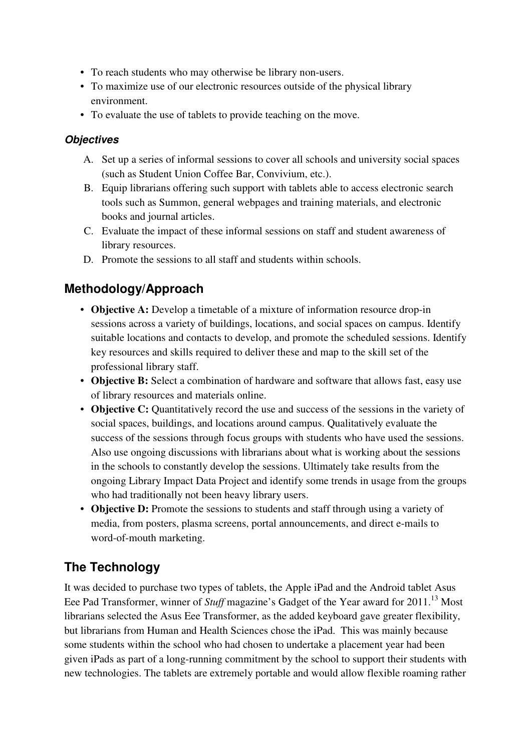- To reach students who may otherwise be library non-users.
- To maximize use of our electronic resources outside of the physical library environment.
- To evaluate the use of tablets to provide teaching on the move.

#### **Objectives**

- A. Set up a series of informal sessions to cover all schools and university social spaces (such as Student Union Coffee Bar, Convivium, etc.).
- B. Equip librarians offering such support with tablets able to access electronic search tools such as Summon, general webpages and training materials, and electronic books and journal articles.
- C. Evaluate the impact of these informal sessions on staff and student awareness of library resources.
- D. Promote the sessions to all staff and students within schools.

## **Methodology/Approach**

- **Objective A:** Develop a timetable of a mixture of information resource drop-in sessions across a variety of buildings, locations, and social spaces on campus. Identify suitable locations and contacts to develop, and promote the scheduled sessions. Identify key resources and skills required to deliver these and map to the skill set of the professional library staff.
- **Objective B:** Select a combination of hardware and software that allows fast, easy use of library resources and materials online.
- **Objective C:** Quantitatively record the use and success of the sessions in the variety of social spaces, buildings, and locations around campus. Qualitatively evaluate the success of the sessions through focus groups with students who have used the sessions. Also use ongoing discussions with librarians about what is working about the sessions in the schools to constantly develop the sessions. Ultimately take results from the ongoing Library Impact Data Project and identify some trends in usage from the groups who had traditionally not been heavy library users.
- **Objective D:** Promote the sessions to students and staff through using a variety of media, from posters, plasma screens, portal announcements, and direct e-mails to word-of-mouth marketing.

## **The Technology**

It was decided to purchase two types of tablets, the Apple iPad and the Android tablet Asus Eee Pad Transformer, winner of *Stuff* magazine's Gadget of the Year award for 2011.<sup>13</sup> Most librarians selected the Asus Eee Transformer, as the added keyboard gave greater flexibility, but librarians from Human and Health Sciences chose the iPad. This was mainly because some students within the school who had chosen to undertake a placement year had been given iPads as part of a long-running commitment by the school to support their students with new technologies. The tablets are extremely portable and would allow flexible roaming rather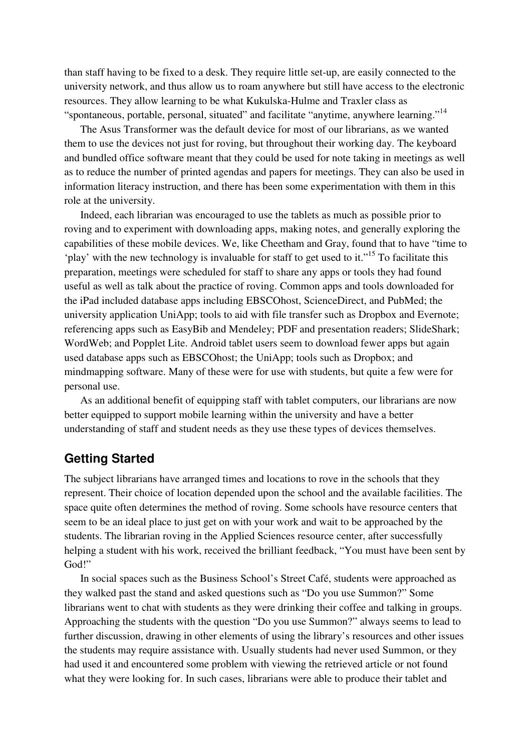than staff having to be fixed to a desk. They require little set-up, are easily connected to the university network, and thus allow us to roam anywhere but still have access to the electronic resources. They allow learning to be what Kukulska-Hulme and Traxler class as "spontaneous, portable, personal, situated" and facilitate "anytime, anywhere learning."<sup>14</sup>

The Asus Transformer was the default device for most of our librarians, as we wanted them to use the devices not just for roving, but throughout their working day. The keyboard and bundled office software meant that they could be used for note taking in meetings as well as to reduce the number of printed agendas and papers for meetings. They can also be used in information literacy instruction, and there has been some experimentation with them in this role at the university.

Indeed, each librarian was encouraged to use the tablets as much as possible prior to roving and to experiment with downloading apps, making notes, and generally exploring the capabilities of these mobile devices. We, like Cheetham and Gray, found that to have "time to 'play' with the new technology is invaluable for staff to get used to it."<sup>15</sup> To facilitate this preparation, meetings were scheduled for staff to share any apps or tools they had found useful as well as talk about the practice of roving. Common apps and tools downloaded for the iPad included database apps including EBSCOhost, ScienceDirect, and PubMed; the university application UniApp; tools to aid with file transfer such as Dropbox and Evernote; referencing apps such as EasyBib and Mendeley; PDF and presentation readers; SlideShark; WordWeb; and Popplet Lite. Android tablet users seem to download fewer apps but again used database apps such as EBSCOhost; the UniApp; tools such as Dropbox; and mindmapping software. Many of these were for use with students, but quite a few were for personal use.

As an additional benefit of equipping staff with tablet computers, our librarians are now better equipped to support mobile learning within the university and have a better understanding of staff and student needs as they use these types of devices themselves.

## **Getting Started**

The subject librarians have arranged times and locations to rove in the schools that they represent. Their choice of location depended upon the school and the available facilities. The space quite often determines the method of roving. Some schools have resource centers that seem to be an ideal place to just get on with your work and wait to be approached by the students. The librarian roving in the Applied Sciences resource center, after successfully helping a student with his work, received the brilliant feedback, "You must have been sent by God!"

In social spaces such as the Business School's Street Café, students were approached as they walked past the stand and asked questions such as "Do you use Summon?" Some librarians went to chat with students as they were drinking their coffee and talking in groups. Approaching the students with the question "Do you use Summon?" always seems to lead to further discussion, drawing in other elements of using the library's resources and other issues the students may require assistance with. Usually students had never used Summon, or they had used it and encountered some problem with viewing the retrieved article or not found what they were looking for. In such cases, librarians were able to produce their tablet and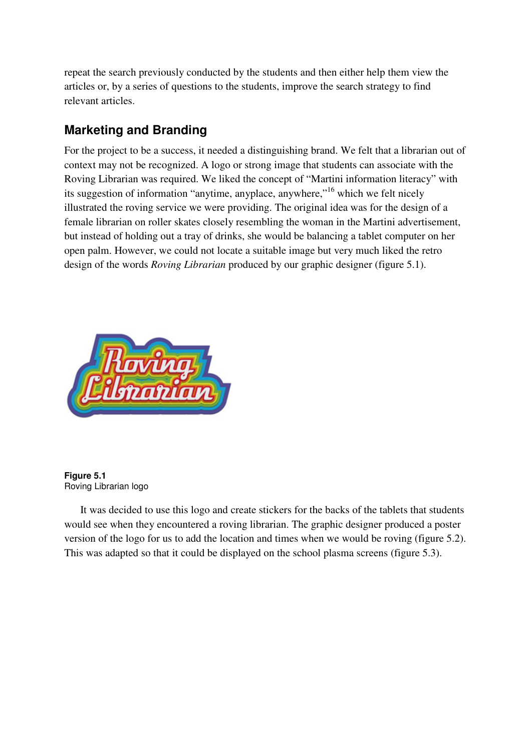repeat the search previously conducted by the students and then either help them view the articles or, by a series of questions to the students, improve the search strategy to find relevant articles.

## **Marketing and Branding**

For the project to be a success, it needed a distinguishing brand. We felt that a librarian out of context may not be recognized. A logo or strong image that students can associate with the Roving Librarian was required. We liked the concept of "Martini information literacy" with its suggestion of information "anytime, anyplace, anywhere,"<sup>16</sup> which we felt nicely illustrated the roving service we were providing. The original idea was for the design of a female librarian on roller skates closely resembling the woman in the Martini advertisement, but instead of holding out a tray of drinks, she would be balancing a tablet computer on her open palm. However, we could not locate a suitable image but very much liked the retro design of the words *Roving Librarian* produced by our graphic designer (figure 5.1).



**Figure 5.1**  Roving Librarian logo

It was decided to use this logo and create stickers for the backs of the tablets that students would see when they encountered a roving librarian. The graphic designer produced a poster version of the logo for us to add the location and times when we would be roving (figure 5.2). This was adapted so that it could be displayed on the school plasma screens (figure 5.3).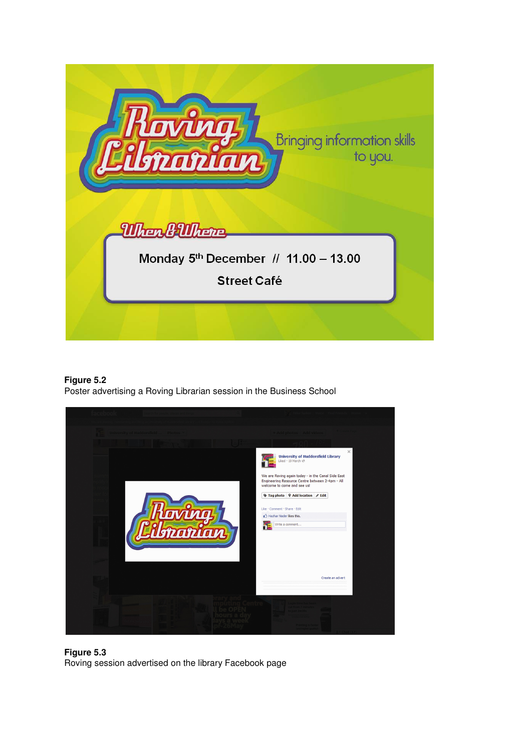

**Figure 5.2** 

Poster advertising a Roving Librarian session in the Business School



**Figure 5.3**  Roving session advertised on the library Facebook page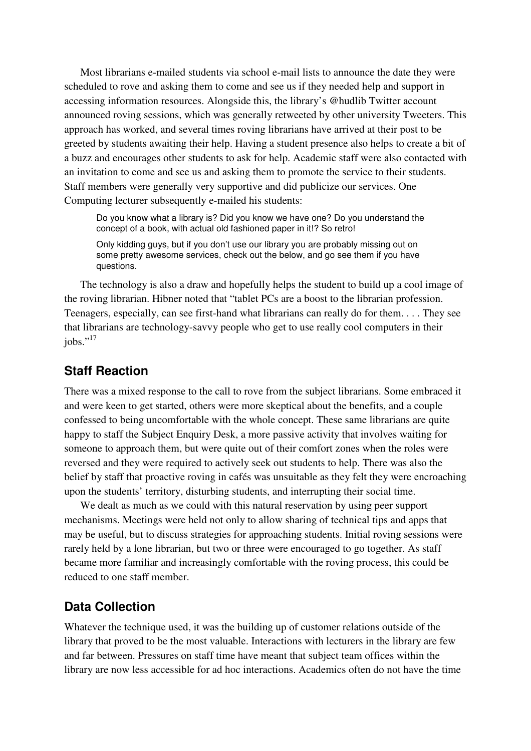Most librarians e-mailed students via school e-mail lists to announce the date they were scheduled to rove and asking them to come and see us if they needed help and support in accessing information resources. Alongside this, the library's @hudlib Twitter account announced roving sessions, which was generally retweeted by other university Tweeters. This approach has worked, and several times roving librarians have arrived at their post to be greeted by students awaiting their help. Having a student presence also helps to create a bit of a buzz and encourages other students to ask for help. Academic staff were also contacted with an invitation to come and see us and asking them to promote the service to their students. Staff members were generally very supportive and did publicize our services. One Computing lecturer subsequently e-mailed his students:

Do you know what a library is? Did you know we have one? Do you understand the concept of a book, with actual old fashioned paper in it!? So retro!

Only kidding guys, but if you don't use our library you are probably missing out on some pretty awesome services, check out the below, and go see them if you have questions.

The technology is also a draw and hopefully helps the student to build up a cool image of the roving librarian. Hibner noted that "tablet PCs are a boost to the librarian profession. Teenagers, especially, can see first-hand what librarians can really do for them. . . . They see that librarians are technology-savvy people who get to use really cool computers in their iobs."<sup>17</sup>

#### **Staff Reaction**

There was a mixed response to the call to rove from the subject librarians. Some embraced it and were keen to get started, others were more skeptical about the benefits, and a couple confessed to being uncomfortable with the whole concept. These same librarians are quite happy to staff the Subject Enquiry Desk, a more passive activity that involves waiting for someone to approach them, but were quite out of their comfort zones when the roles were reversed and they were required to actively seek out students to help. There was also the belief by staff that proactive roving in cafés was unsuitable as they felt they were encroaching upon the students' territory, disturbing students, and interrupting their social time.

We dealt as much as we could with this natural reservation by using peer support mechanisms. Meetings were held not only to allow sharing of technical tips and apps that may be useful, but to discuss strategies for approaching students. Initial roving sessions were rarely held by a lone librarian, but two or three were encouraged to go together. As staff became more familiar and increasingly comfortable with the roving process, this could be reduced to one staff member.

#### **Data Collection**

Whatever the technique used, it was the building up of customer relations outside of the library that proved to be the most valuable. Interactions with lecturers in the library are few and far between. Pressures on staff time have meant that subject team offices within the library are now less accessible for ad hoc interactions. Academics often do not have the time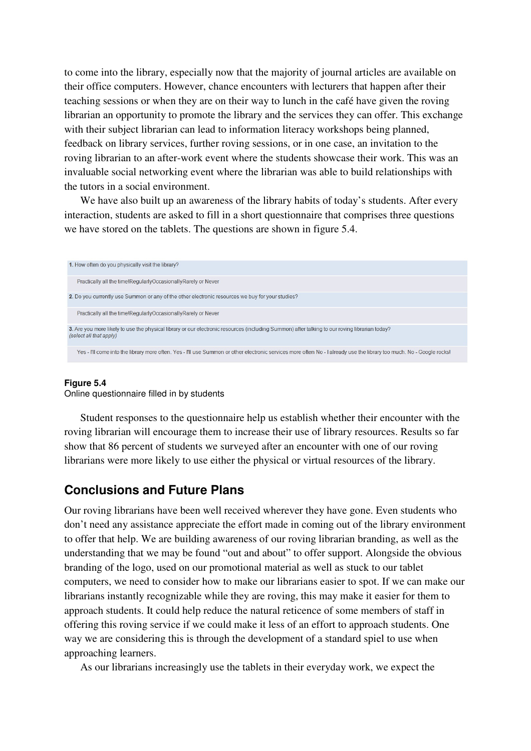to come into the library, especially now that the majority of journal articles are available on their office computers. However, chance encounters with lecturers that happen after their teaching sessions or when they are on their way to lunch in the café have given the roving librarian an opportunity to promote the library and the services they can offer. This exchange with their subject librarian can lead to information literacy workshops being planned, feedback on library services, further roving sessions, or in one case, an invitation to the roving librarian to an after-work event where the students showcase their work. This was an invaluable social networking event where the librarian was able to build relationships with the tutors in a social environment.

We have also built up an awareness of the library habits of today's students. After every interaction, students are asked to fill in a short questionnaire that comprises three questions we have stored on the tablets. The questions are shown in figure 5.4.



#### **Figure 5.4**

Online questionnaire filled in by students

Student responses to the questionnaire help us establish whether their encounter with the roving librarian will encourage them to increase their use of library resources. Results so far show that 86 percent of students we surveyed after an encounter with one of our roving librarians were more likely to use either the physical or virtual resources of the library.

#### **Conclusions and Future Plans**

Our roving librarians have been well received wherever they have gone. Even students who don't need any assistance appreciate the effort made in coming out of the library environment to offer that help. We are building awareness of our roving librarian branding, as well as the understanding that we may be found "out and about" to offer support. Alongside the obvious branding of the logo, used on our promotional material as well as stuck to our tablet computers, we need to consider how to make our librarians easier to spot. If we can make our librarians instantly recognizable while they are roving, this may make it easier for them to approach students. It could help reduce the natural reticence of some members of staff in offering this roving service if we could make it less of an effort to approach students. One way we are considering this is through the development of a standard spiel to use when approaching learners.

As our librarians increasingly use the tablets in their everyday work, we expect the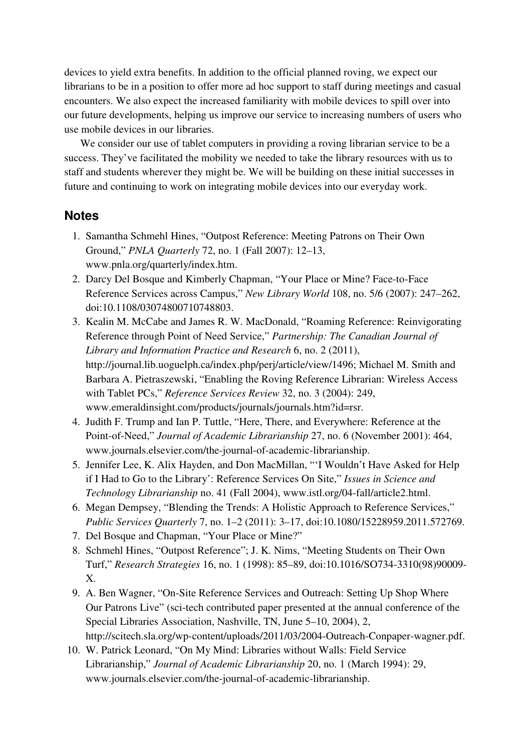devices to yield extra benefits. In addition to the official planned roving, we expect our librarians to be in a position to offer more ad hoc support to staff during meetings and casual encounters. We also expect the increased familiarity with mobile devices to spill over into our future developments, helping us improve our service to increasing numbers of users who use mobile devices in our libraries.

We consider our use of tablet computers in providing a roving librarian service to be a success. They've facilitated the mobility we needed to take the library resources with us to staff and students wherever they might be. We will be building on these initial successes in future and continuing to work on integrating mobile devices into our everyday work.

#### **Notes**

- 1. Samantha Schmehl Hines, "Outpost Reference: Meeting Patrons on Their Own Ground," *PNLA Quarterly* 72, no. 1 (Fall 2007): 12–13, www.pnla.org/quarterly/index.htm.
- 2. Darcy Del Bosque and Kimberly Chapman, "Your Place or Mine? Face-to-Face Reference Services across Campus," *New Library World* 108, no. 5/6 (2007): 247–262, doi:10.1108/03074800710748803.
- 3. Kealin M. McCabe and James R. W. MacDonald, "Roaming Reference: Reinvigorating Reference through Point of Need Service," *Partnership: The Canadian Journal of Library and Information Practice and Research* 6, no. 2 (2011), http://journal.lib.uoguelph.ca/index.php/perj/article/view/1496; Michael M. Smith and Barbara A. Pietraszewski, "Enabling the Roving Reference Librarian: Wireless Access with Tablet PCs," *Reference Services Review* 32, no. 3 (2004): 249, www.emeraldinsight.com/products/journals/journals.htm?id=rsr.
- 4. Judith F. Trump and Ian P. Tuttle, "Here, There, and Everywhere: Reference at the Point-of-Need," *Journal of Academic Librarianship* 27, no. 6 (November 2001): 464, www.journals.elsevier.com/the-journal-of-academic-librarianship.
- 5. Jennifer Lee, K. Alix Hayden, and Don MacMillan, "'I Wouldn't Have Asked for Help if I Had to Go to the Library': Reference Services On Site," *Issues in Science and Technology Librarianship* no. 41 (Fall 2004), www.istl.org/04-fall/article2.html.
- 6. Megan Dempsey, "Blending the Trends: A Holistic Approach to Reference Services," *Public Services Quarterly* 7, no. 1–2 (2011): 3–17, doi:10.1080/15228959.2011.572769.
- 7. Del Bosque and Chapman, "Your Place or Mine?"
- 8. Schmehl Hines, "Outpost Reference"; J. K. Nims, "Meeting Students on Their Own Turf," *Research Strategies* 16, no. 1 (1998): 85–89, doi:10.1016/SO734-3310(98)90009- X.
- 9. A. Ben Wagner, "On-Site Reference Services and Outreach: Setting Up Shop Where Our Patrons Live" (sci-tech contributed paper presented at the annual conference of the Special Libraries Association, Nashville, TN, June 5–10, 2004), 2, http://scitech.sla.org/wp-content/uploads/2011/03/2004-Outreach-Conpaper-wagner.pdf.
- 10. W. Patrick Leonard, "On My Mind: Libraries without Walls: Field Service Librarianship," *Journal of Academic Librarianship* 20, no. 1 (March 1994): 29, www.journals.elsevier.com/the-journal-of-academic-librarianship.